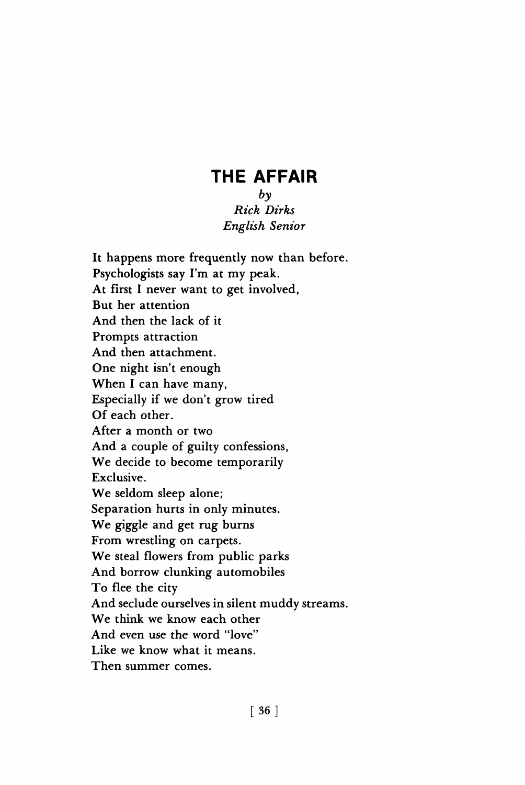## **THE AFFAIR**

## $b\mathfrak{v}$ *Rick Dirks English Senior*

**It happens more frequently now than before. Psychologists say I'm at my peak. At first I never want to get involved, But her attention And then the lack of it Prompts attraction And then attachment. One night isn't enough When I can have many, Especially if we don't grow tired Of each other. After a month or two And a couple of guilty confessions, We decide to become temporarily Exclusive. We seldom sleep alone; Separation hurts in only minutes. We giggle and get rug burns From wrestling on carpets. We steal flowers from public parks And borrow clunking automobiles To flee the city And seclude ourselves in silent muddy streams. We think we know each other And even use the word "love" Like we know what it means. Then summer comes.**